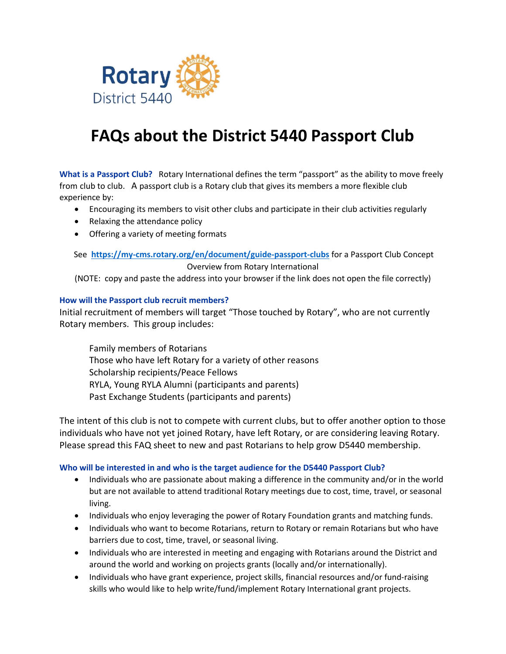

# **FAQs about the District 5440 Passport Club**

**What is a Passport Club?** Rotary International defines the term "passport" as the ability to move freely from club to club. A passport club is a Rotary club that gives its members a more flexible club experience by:

- Encouraging its members to visit other clubs and participate in their club activities regularly
- Relaxing the attendance policy
- Offering a variety of meeting formats

See **<https://my-cms.rotary.org/en/document/guide-passport-clubs>** for a Passport Club Concept Overview from Rotary International

(NOTE: copy and paste the address into your browser if the link does not open the file correctly)

#### **How will the Passport club recruit members?**

Initial recruitment of members will target "Those touched by Rotary", who are not currently Rotary members. This group includes:

Family members of Rotarians Those who have left Rotary for a variety of other reasons Scholarship recipients/Peace Fellows RYLA, Young RYLA Alumni (participants and parents) Past Exchange Students (participants and parents)

The intent of this club is not to compete with current clubs, but to offer another option to those individuals who have not yet joined Rotary, have left Rotary, or are considering leaving Rotary. Please spread this FAQ sheet to new and past Rotarians to help grow D5440 membership.

#### **Who will be interested in and who is the target audience for the D5440 Passport Club?**

- Individuals who are passionate about making a difference in the community and/or in the world but are not available to attend traditional Rotary meetings due to cost, time, travel, or seasonal living.
- Individuals who enjoy leveraging the power of Rotary Foundation grants and matching funds.
- Individuals who want to become Rotarians, return to Rotary or remain Rotarians but who have barriers due to cost, time, travel, or seasonal living.
- Individuals who are interested in meeting and engaging with Rotarians around the District and around the world and working on projects grants (locally and/or internationally).
- Individuals who have grant experience, project skills, financial resources and/or fund-raising skills who would like to help write/fund/implement Rotary International grant projects.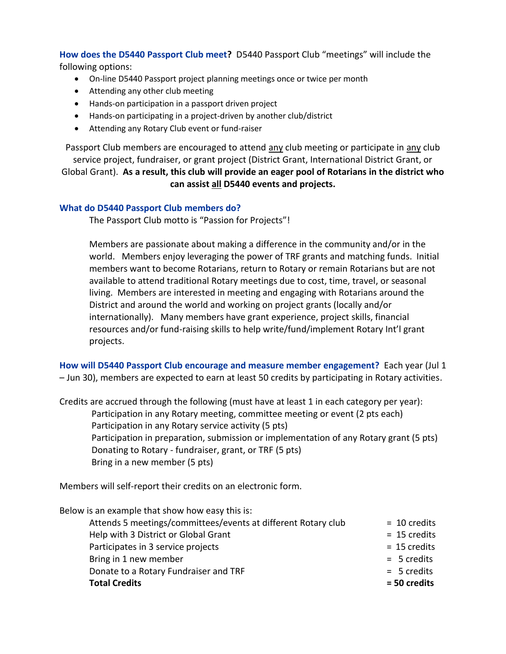**How does the D5440 Passport Club meet?** D5440 Passport Club "meetings" will include the following options:

- On-line D5440 Passport project planning meetings once or twice per month
- Attending any other club meeting
- Hands-on participation in a passport driven project
- Hands-on participating in a project-driven by another club/district
- Attending any Rotary Club event or fund-raiser

Passport Club members are encouraged to attend any club meeting or participate in any club service project, fundraiser, or grant project (District Grant, International District Grant, or

Global Grant). **As a result, this club will provide an eager pool of Rotarians in the district who can assist all D5440 events and projects.**

#### **What do D5440 Passport Club members do?**

The Passport Club motto is "Passion for Projects"!

Members are passionate about making a difference in the community and/or in the world. Members enjoy leveraging the power of TRF grants and matching funds. Initial members want to become Rotarians, return to Rotary or remain Rotarians but are not available to attend traditional Rotary meetings due to cost, time, travel, or seasonal living. Members are interested in meeting and engaging with Rotarians around the District and around the world and working on project grants (locally and/or internationally). Many members have grant experience, project skills, financial resources and/or fund-raising skills to help write/fund/implement Rotary Int'l grant projects.

**How will D5440 Passport Club encourage and measure member engagement?** Each year (Jul 1 – Jun 30), members are expected to earn at least 50 credits by participating in Rotary activities.

Credits are accrued through the following (must have at least 1 in each category per year): Participation in any Rotary meeting, committee meeting or event (2 pts each) Participation in any Rotary service activity (5 pts) Participation in preparation, submission or implementation of any Rotary grant (5 pts) Donating to Rotary - fundraiser, grant, or TRF (5 pts) Bring in a new member (5 pts)

Members will self-report their credits on an electronic form.

Below is an example that show how easy this is:

Attends 5 meetings/committees/events at different Rotary club = 10 credits Help with 3 District or Global Grant Theorem and the 15 credits and the 15 credits Participates in 3 service projects  $= 15$  credits Bring in 1 new member  $=$  5 credits Donate to a Rotary Fundraiser and TRF = 5 credits = 5 credits **Total Credits = 50 credits**